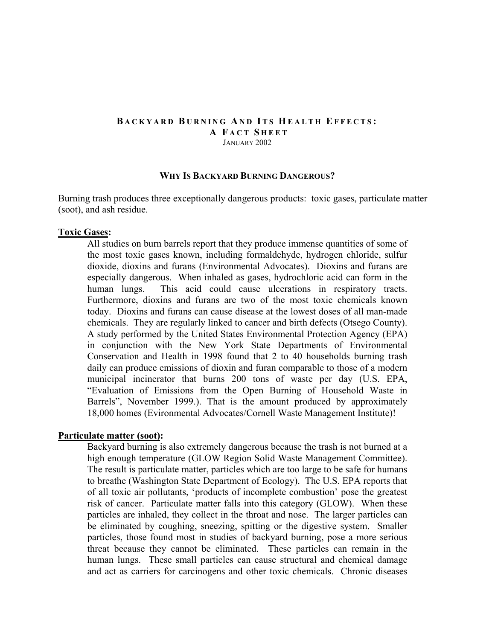## **B ACKYARD B URNING A ND I TS H EALTH EFFECTS : A F ACT S HEET** JANUARY 2002

#### **WHY IS BACKYARD BURNING DANGEROUS?**

Burning trash produces three exceptionally dangerous products: toxic gases, particulate matter (soot), and ash residue.

#### **Toxic Gases:**

All studies on burn barrels report that they produce immense quantities of some of the most toxic gases known, including formaldehyde, hydrogen chloride, sulfur dioxide, dioxins and furans (Environmental Advocates). Dioxins and furans are especially dangerous. When inhaled as gases, hydrochloric acid can form in the human lungs. This acid could cause ulcerations in respiratory tracts. Furthermore, dioxins and furans are two of the most toxic chemicals known today. Dioxins and furans can cause disease at the lowest doses of all man-made chemicals. They are regularly linked to cancer and birth defects (Otsego County). A study performed by the United States Environmental Protection Agency (EPA) in conjunction with the New York State Departments of Environmental Conservation and Health in 1998 found that 2 to 40 households burning trash daily can produce emissions of dioxin and furan comparable to those of a modern municipal incinerator that burns 200 tons of waste per day (U.S. EPA, "Evaluation of Emissions from the Open Burning of Household Waste in Barrels", November 1999.). That is the amount produced by approximately 18,000 homes (Evironmental Advocates/Cornell Waste Management Institute)!

### **Particulate matter (soot):**

 Backyard burning is also extremely dangerous because the trash is not burned at a high enough temperature (GLOW Region Solid Waste Management Committee). The result is particulate matter, particles which are too large to be safe for humans to breathe (Washington State Department of Ecology). The U.S. EPA reports that of all toxic air pollutants, 'products of incomplete combustion' pose the greatest risk of cancer. Particulate matter falls into this category (GLOW). When these particles are inhaled, they collect in the throat and nose. The larger particles can be eliminated by coughing, sneezing, spitting or the digestive system. Smaller particles, those found most in studies of backyard burning, pose a more serious threat because they cannot be eliminated. These particles can remain in the human lungs. These small particles can cause structural and chemical damage and act as carriers for carcinogens and other toxic chemicals. Chronic diseases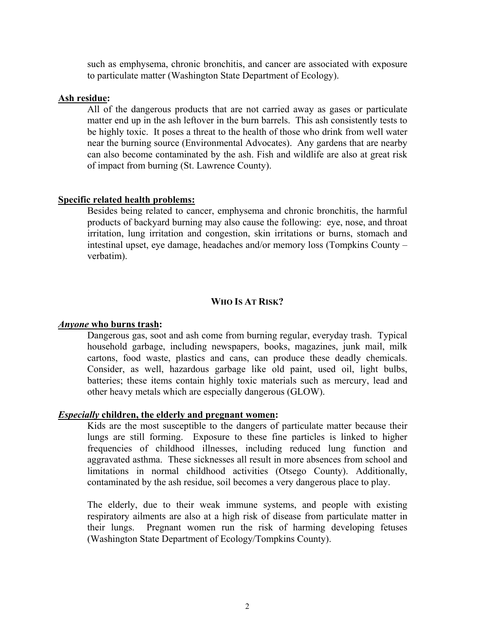such as emphysema, chronic bronchitis, and cancer are associated with exposure to particulate matter (Washington State Department of Ecology).

## **Ash residue:**

All of the dangerous products that are not carried away as gases or particulate matter end up in the ash leftover in the burn barrels. This ash consistently tests to be highly toxic. It poses a threat to the health of those who drink from well water near the burning source (Environmental Advocates). Any gardens that are nearby can also become contaminated by the ash. Fish and wildlife are also at great risk of impact from burning (St. Lawrence County).

## **Specific related health problems:**

Besides being related to cancer, emphysema and chronic bronchitis, the harmful products of backyard burning may also cause the following: eye, nose, and throat irritation, lung irritation and congestion, skin irritations or burns, stomach and intestinal upset, eye damage, headaches and/or memory loss (Tompkins County – verbatim).

## **WHO IS AT RISK?**

### *Anyone* **who burns trash:**

Dangerous gas, soot and ash come from burning regular, everyday trash. Typical household garbage, including newspapers, books, magazines, junk mail, milk cartons, food waste, plastics and cans, can produce these deadly chemicals. Consider, as well, hazardous garbage like old paint, used oil, light bulbs, batteries; these items contain highly toxic materials such as mercury, lead and other heavy metals which are especially dangerous (GLOW).

### *Especially* **children, the elderly and pregnant women:**

Kids are the most susceptible to the dangers of particulate matter because their lungs are still forming. Exposure to these fine particles is linked to higher frequencies of childhood illnesses, including reduced lung function and aggravated asthma. These sicknesses all result in more absences from school and limitations in normal childhood activities (Otsego County). Additionally, contaminated by the ash residue, soil becomes a very dangerous place to play.

The elderly, due to their weak immune systems, and people with existing respiratory ailments are also at a high risk of disease from particulate matter in their lungs. Pregnant women run the risk of harming developing fetuses (Washington State Department of Ecology/Tompkins County).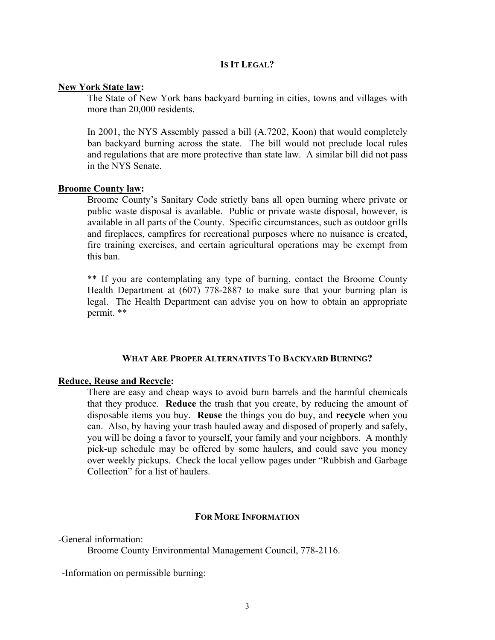## **IS IT LEGAL?**

#### **New York State law:**

The State of New York bans backyard burning in cities, towns and villages with more than 20,000 residents.

In 2001, the NYS Assembly passed a bill (A.7202, Koon) that would completely ban backyard burning across the state. The bill would not preclude local rules and regulations that are more protective than state law. A similar bill did not pass in the NYS Senate.

## **Broome County law:**

Broome County's Sanitary Code strictly bans all open burning where private or public waste disposal is available. Public or private waste disposal, however, is available in all parts of the County. Specific circumstances, such as outdoor grills and fireplaces, campfires for recreational purposes where no nuisance is created, fire training exercises, and certain agricultural operations may be exempt from this ban.

\*\* If you are contemplating any type of burning, contact the Broome County Health Department at (607) 778-2887 to make sure that your burning plan is legal. The Health Department can advise you on how to obtain an appropriate permit. \*\*

#### **WHAT ARE PROPER ALTERNATIVES TO BACKYARD BURNING?**

### **Reduce, Reuse and Recycle:**

There are easy and cheap ways to avoid burn barrels and the harmful chemicals that they produce. **Reduce** the trash that you create, by reducing the amount of disposable items you buy. **Reuse** the things you do buy, and **recycle** when you can. Also, by having your trash hauled away and disposed of properly and safely, you will be doing a favor to yourself, your family and your neighbors. A monthly pick-up schedule may be offered by some haulers, and could save you money over weekly pickups. Check the local yellow pages under "Rubbish and Garbage Collection" for a list of haulers.

### **FOR MORE INFORMATION**

-General information:

Broome County Environmental Management Council, 778-2116.

-Information on permissible burning: